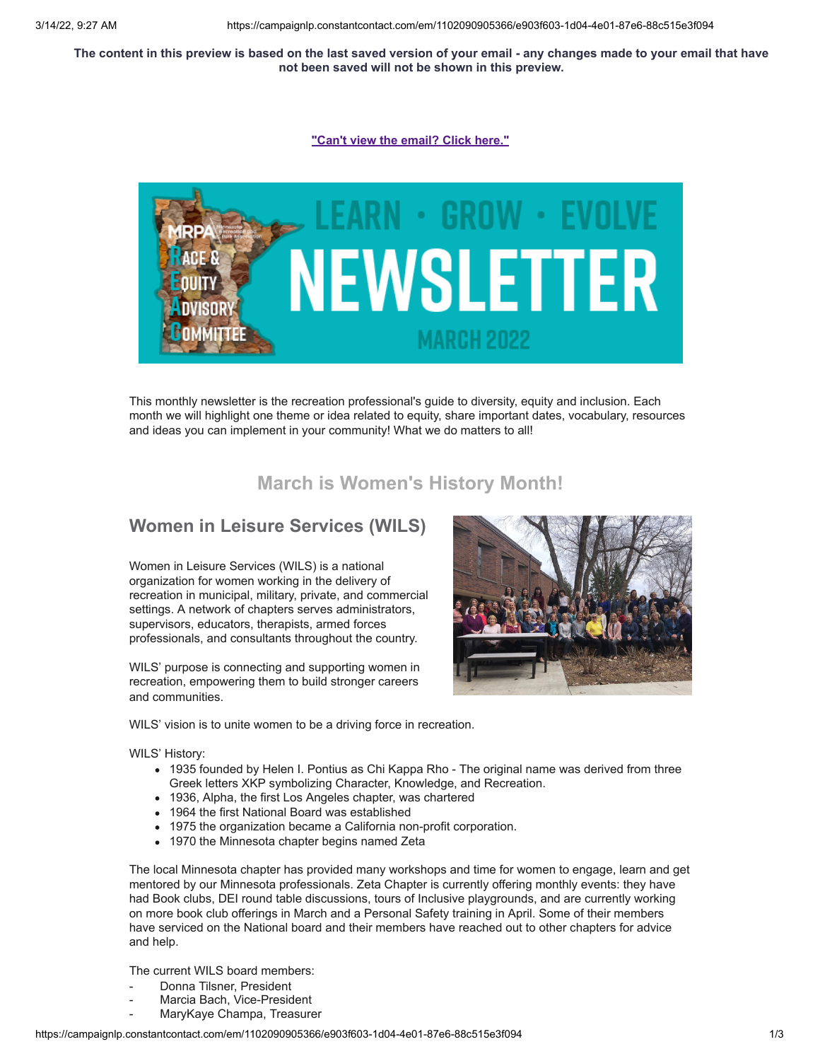The content in this preview is based on the last saved version of your email - any changes made to your email that have **not been saved will not be shown in this preview.**

**["Can't view the email? Click here."](https://campaignlp.constantcontact.com/em/1102090905366/e903f603-1d04-4e01-87e6-88c515e3f094)**



This monthly newsletter is the recreation professional's guide to diversity, equity and inclusion. Each month we will highlight one theme or idea related to equity, share important dates, vocabulary, resources and ideas you can implement in your community! What we do matters to all!

# **March is Women's History Month!**

## **Women in Leisure Services (WILS)**

Women in Leisure Services (WILS) is a national organization for women working in the delivery of recreation in municipal, military, private, and commercial settings. A network of chapters serves administrators, supervisors, educators, therapists, armed forces professionals, and consultants throughout the country.

WILS' purpose is connecting and supporting women in recreation, empowering them to build stronger careers and communities.



WILS' vision is to unite women to be a driving force in recreation.

WILS' History:

- 1935 founded by Helen I. Pontius as Chi Kappa Rho The original name was derived from three Greek letters XKP symbolizing Character, Knowledge, and Recreation.
- 1936, Alpha, the first Los Angeles chapter, was chartered
- 1964 the first National Board was established
- 1975 the organization became a California non-profit corporation.
- 1970 the Minnesota chapter begins named Zeta

The local Minnesota chapter has provided many workshops and time for women to engage, learn and get mentored by our Minnesota professionals. Zeta Chapter is currently offering monthly events: they have had Book clubs, DEI round table discussions, tours of Inclusive playgrounds, and are currently working on more book club offerings in March and a Personal Safety training in April. Some of their members have serviced on the National board and their members have reached out to other chapters for advice and help.

The current WILS board members:

- Donna Tilsner, President
- Marcia Bach, Vice-President
- MaryKaye Champa, Treasurer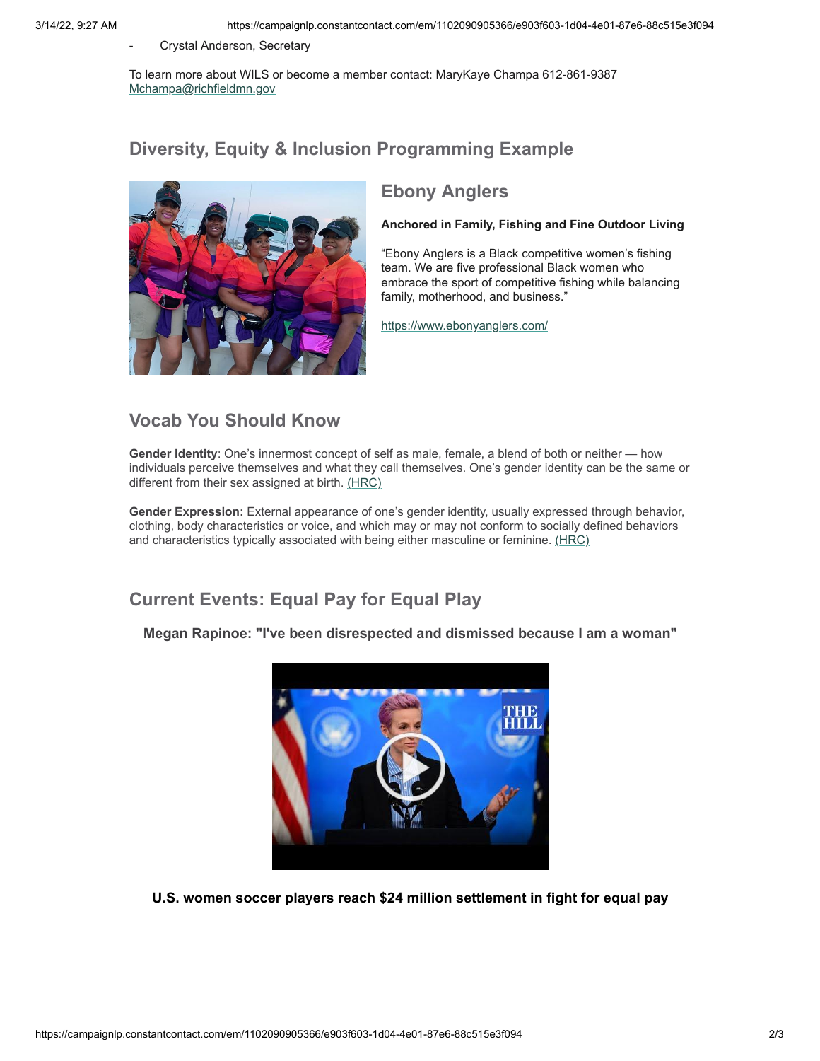- Crystal Anderson, Secretary

To learn more about WILS or become a member contact: MaryKaye Champa 612-861-9387 [Mchampa@richfieldmn.gov](mailto:Mchampa@richfieldmn.gov)

# **Diversity, Equity & Inclusion Programming Example**



# **Ebony Anglers**

#### **Anchored in Family, Fishing and Fine Outdoor Living**

"Ebony Anglers is a Black competitive women's fishing team. We are five professional Black women who embrace the sport of competitive fishing while balancing family, motherhood, and business."

<https://www.ebonyanglers.com/>

## **Vocab You Should Know**

**Gender Identity**: One's innermost concept of self as male, female, a blend of both or neither — how individuals perceive themselves and what they call themselves. One's gender identity can be the same or different from their sex assigned at birth. [\(HRC\)](https://www.hrc.org/resources/glossary-of-terms)

**Gender Expression:** External appearance of one's gender identity, usually expressed through behavior, clothing, body characteristics or voice, and which may or may not conform to socially defined behaviors and characteristics typically associated with being either masculine or feminine. [\(HRC\)](https://www.hrc.org/resources/glossary-of-terms)

# **Current Events: Equal Pay for Equal Play**

**Megan Rapinoe: "I've been disrespected and dismissed because I am a woman"**



**U.S. women soccer players reach \$24 million settlement in fight for equal pay**